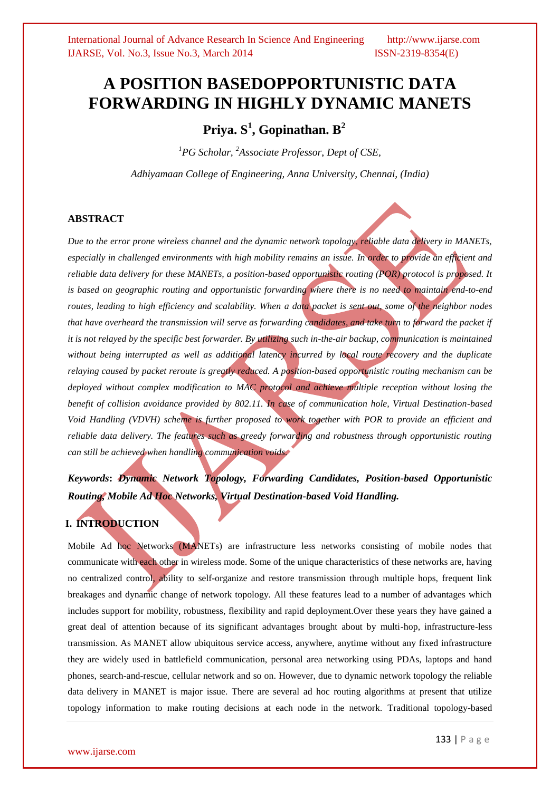# **A POSITION BASEDOPPORTUNISTIC DATA FORWARDING IN HIGHLY DYNAMIC MANETS**

## **Priya. S<sup>1</sup> , Gopinathan. B<sup>2</sup>**

*<sup>1</sup>PG Scholar, <sup>2</sup>Associate Professor*, *Dept of CSE,*

*Adhiyamaan College of Engineering, Anna University, Chennai, (India)*

#### **ABSTRACT**

*Due to the error prone wireless channel and the dynamic network topology, reliable data delivery in MANETs, especially in challenged environments with high mobility remains an issue. In order to provide an efficient and reliable data delivery for these MANETs, a position-based opportunistic routing (POR) protocol is proposed. It* is based on geographic routing and opportunistic forwarding where there is no need to maintain end-to-end *routes, leading to high efficiency and scalability. When a data packet is sent out, some of the neighbor nodes that have overheard the transmission will serve as forwarding candidates, and take turn to forward the packet if it is not relayed by the specific best forwarder. By utilizing such in-the-air backup, communication is maintained without being interrupted as well as additional latency incurred by local route recovery and the duplicate relaying caused by packet reroute is greatly reduced. A position-based opportunistic routing mechanism can be deployed without complex modification to MAC protocol and achieve multiple reception without losing the benefit of collision avoidance provided by 802.11. In case of communication hole, Virtual Destination-based Void Handling (VDVH) scheme is further proposed to work together with POR to provide an efficient and reliable data delivery. The features such as greedy forwarding and robustness through opportunistic routing can still be achieved when handling communication voids.*

*Keywords***:** *Dynamic Network Topology, Forwarding Candidates, Position-based Opportunistic Routing, Mobile Ad Hoc Networks, Virtual Destination-based Void Handling.*

## **I. INTRODUCTION**

Mobile Ad hoc Networks (MANETs) are infrastructure less networks consisting of mobile nodes that communicate with each other in wireless mode. Some of the unique characteristics of these networks are, having no centralized control, ability to self-organize and restore transmission through multiple hops, frequent link breakages and dynamic change of network topology. All these features lead to a number of advantages which includes support for mobility, robustness, flexibility and rapid deployment.Over these years they have gained a great deal of attention because of its significant advantages brought about by multi-hop, infrastructure-less transmission. As MANET allow ubiquitous service access, anywhere, anytime without any fixed infrastructure they are widely used in battlefield communication, personal area networking using PDAs, laptops and hand phones, search-and-rescue, cellular network and so on. However, due to dynamic network topology the reliable data delivery in MANET is major issue. There are several ad hoc routing algorithms at present that utilize topology information to make routing decisions at each node in the network. Traditional topology-based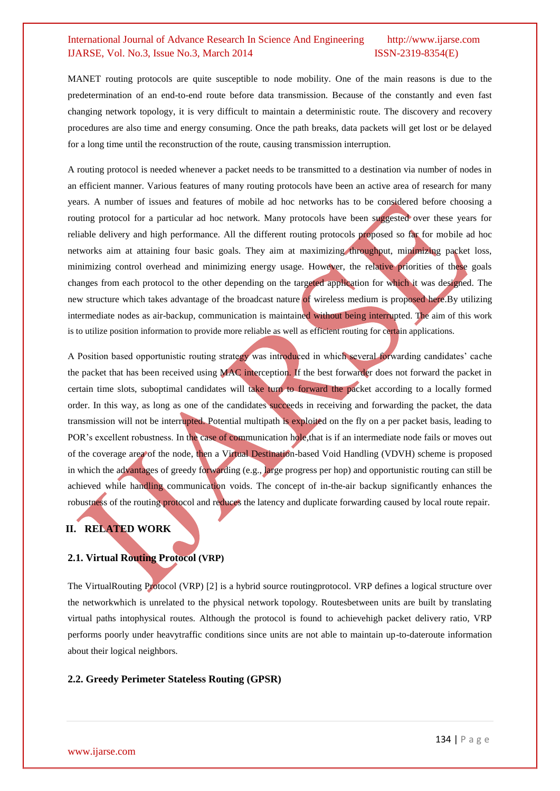MANET routing protocols are quite susceptible to node mobility. One of the main reasons is due to the predetermination of an end-to-end route before data transmission. Because of the constantly and even fast changing network topology, it is very difficult to maintain a deterministic route. The discovery and recovery procedures are also time and energy consuming. Once the path breaks, data packets will get lost or be delayed for a long time until the reconstruction of the route, causing transmission interruption.

A routing protocol is needed whenever a packet needs to be transmitted to a destination via number of nodes in an efficient manner. Various features of many routing protocols have been an active area of research for many years. A number of issues and features of mobile ad hoc networks has to be considered before choosing a routing protocol for a particular ad hoc network. Many protocols have been suggested over these years for reliable delivery and high performance. All the different routing protocols proposed so far for mobile ad hoc networks aim at attaining four basic goals. They aim at maximizing throughput, minimizing packet loss, minimizing control overhead and minimizing energy usage. However, the relative priorities of these goals changes from each protocol to the other depending on the targeted application for which it was designed. The new structure which takes advantage of the broadcast nature of wireless medium is proposed here.By utilizing intermediate nodes as air-backup, communication is maintained without being interrupted. The aim of this work is to utilize position information to provide more reliable as well as efficient routing for certain applications.

A Position based opportunistic routing strategy was introduced in which several forwarding candidates" cache the packet that has been received using MAC interception. If the best forwarder does not forward the packet in certain time slots, suboptimal candidates will take turn to forward the packet according to a locally formed order. In this way, as long as one of the candidates succeeds in receiving and forwarding the packet, the data transmission will not be interrupted. Potential multipath is exploited on the fly on a per packet basis, leading to POR's excellent robustness. In the case of communication hole, that is if an intermediate node fails or moves out of the coverage area of the node, then a Virtual Destination-based Void Handling (VDVH) scheme is proposed in which the advantages of greedy forwarding (e.g., large progress per hop) and opportunistic routing can still be achieved while handling communication voids. The concept of in-the-air backup significantly enhances the robustness of the routing protocol and reduces the latency and duplicate forwarding caused by local route repair.

## **II. RELATED WORK**

#### **2.1. Virtual Routing Protocol (VRP)**

The VirtualRouting Protocol (VRP) [2] is a hybrid source routingprotocol. VRP defines a logical structure over the networkwhich is unrelated to the physical network topology. Routesbetween units are built by translating virtual paths intophysical routes. Although the protocol is found to achievehigh packet delivery ratio, VRP performs poorly under heavytraffic conditions since units are not able to maintain up-to-dateroute information about their logical neighbors.

#### **2.2. Greedy Perimeter Stateless Routing (GPSR)**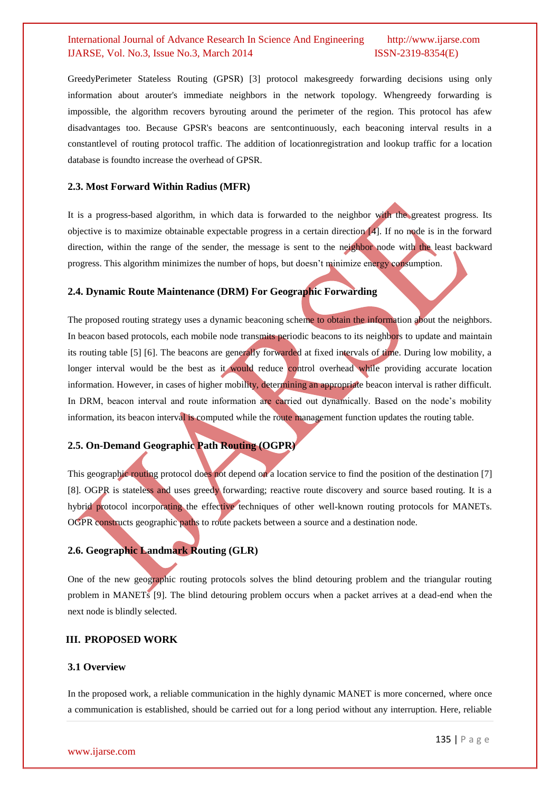GreedyPerimeter Stateless Routing (GPSR) [3] protocol makesgreedy forwarding decisions using only information about arouter's immediate neighbors in the network topology. Whengreedy forwarding is impossible, the algorithm recovers byrouting around the perimeter of the region. This protocol has afew disadvantages too. Because GPSR's beacons are sentcontinuously, each beaconing interval results in a constantlevel of routing protocol traffic. The addition of locationregistration and lookup traffic for a location database is foundto increase the overhead of GPSR.

#### **2.3. Most Forward Within Radius (MFR)**

It is a progress-based algorithm, in which data is forwarded to the neighbor with the greatest progress. Its objective is to maximize obtainable expectable progress in a certain direction [4]. If no node is in the forward direction, within the range of the sender, the message is sent to the neighbor node with the least backward progress. This algorithm minimizes the number of hops, but doesn"t minimize energy consumption.

#### **2.4. Dynamic Route Maintenance (DRM) For Geographic Forwarding**

The proposed routing strategy uses a dynamic beaconing scheme to obtain the information about the neighbors. In beacon based protocols, each mobile node transmits periodic beacons to its neighbors to update and maintain its routing table [5] [6]. The beacons are generally forwarded at fixed intervals of time. During low mobility, a longer interval would be the best as it would reduce control overhead while providing accurate location information. However, in cases of higher mobility, determining an appropriate beacon interval is rather difficult. In DRM, beacon interval and route information are carried out dynamically. Based on the node's mobility information, its beacon interval is computed while the route management function updates the routing table.

## **2.5. On-Demand Geographic Path Routing (OGPR)**

This geographic routing protocol does not depend on a location service to find the position of the destination [7] [8]. OGPR is stateless and uses greedy forwarding; reactive route discovery and source based routing. It is a hybrid protocol incorporating the effective techniques of other well-known routing protocols for MANETs. OGPR constructs geographic paths to route packets between a source and a destination node.

#### **2.6. Geographic Landmark Routing (GLR)**

One of the new geographic routing protocols solves the blind detouring problem and the triangular routing problem in MANETs [9]. The blind detouring problem occurs when a packet arrives at a dead-end when the next node is blindly selected.

#### **III. PROPOSED WORK**

#### **3.1 Overview**

In the proposed work, a reliable communication in the highly dynamic MANET is more concerned, where once a communication is established, should be carried out for a long period without any interruption. Here, reliable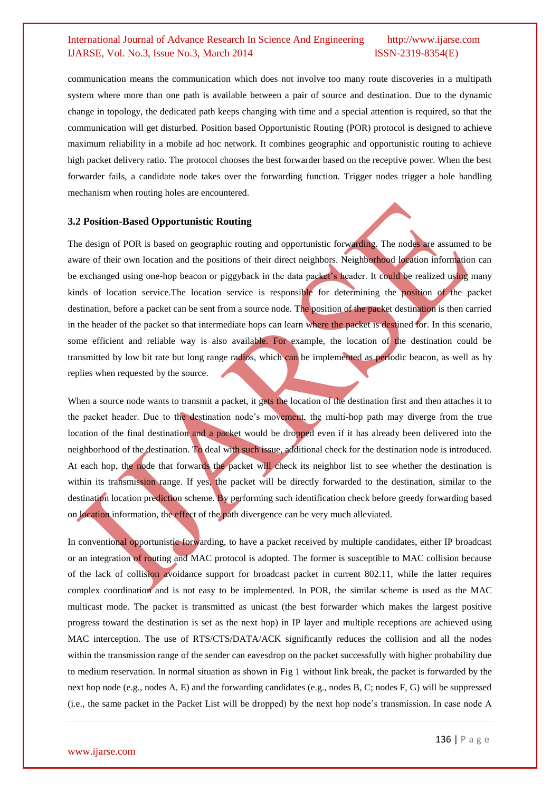communication means the communication which does not involve too many route discoveries in a multipath system where more than one path is available between a pair of source and destination. Due to the dynamic change in topology, the dedicated path keeps changing with time and a special attention is required, so that the communication will get disturbed. Position based Opportunistic Routing (POR) protocol is designed to achieve maximum reliability in a mobile ad hoc network. It combines geographic and opportunistic routing to achieve high packet delivery ratio. The protocol chooses the best forwarder based on the receptive power. When the best forwarder fails, a candidate node takes over the forwarding function. Trigger nodes trigger a hole handling mechanism when routing holes are encountered.

#### **3.2 Position-Based Opportunistic Routing**

The design of POR is based on geographic routing and opportunistic forwarding. The nodes are assumed to be aware of their own location and the positions of their direct neighbors. Neighborhood location information can be exchanged using one-hop beacon or piggyback in the data packet"s header. It could be realized using many kinds of location service.The location service is responsible for determining the position of the packet destination, before a packet can be sent from a source node. The position of the packet destination is then carried in the header of the packet so that intermediate hops can learn where the packet is destined for. In this scenario, some efficient and reliable way is also available. For example, the location of the destination could be transmitted by low bit rate but long range radios, which can be implemented as periodic beacon, as well as by replies when requested by the source.

When a source node wants to transmit a packet, it gets the location of the destination first and then attaches it to the packet header. Due to the destination node's movement, the multi-hop path may diverge from the true location of the final destination and a packet would be dropped even if it has already been delivered into the neighborhood of the destination. To deal with such issue, additional check for the destination node is introduced. At each hop, the node that forwards the packet will check its neighbor list to see whether the destination is within its transmission range. If yes, the packet will be directly forwarded to the destination, similar to the destination location prediction scheme. By performing such identification check before greedy forwarding based on location information, the effect of the path divergence can be very much alleviated.

In conventional opportunistic forwarding, to have a packet received by multiple candidates, either IP broadcast or an integration of routing and MAC protocol is adopted. The former is susceptible to MAC collision because of the lack of collision avoidance support for broadcast packet in current 802.11, while the latter requires complex coordination and is not easy to be implemented. In POR, the similar scheme is used as the MAC multicast mode. The packet is transmitted as unicast (the best forwarder which makes the largest positive progress toward the destination is set as the next hop) in IP layer and multiple receptions are achieved using MAC interception. The use of RTS/CTS/DATA/ACK significantly reduces the collision and all the nodes within the transmission range of the sender can eavesdrop on the packet successfully with higher probability due to medium reservation. In normal situation as shown in Fig 1 without link break, the packet is forwarded by the next hop node (e.g., nodes A, E) and the forwarding candidates (e.g., nodes B, C; nodes F, G) will be suppressed (i.e., the same packet in the Packet List will be dropped) by the next hop node"s transmission. In case node A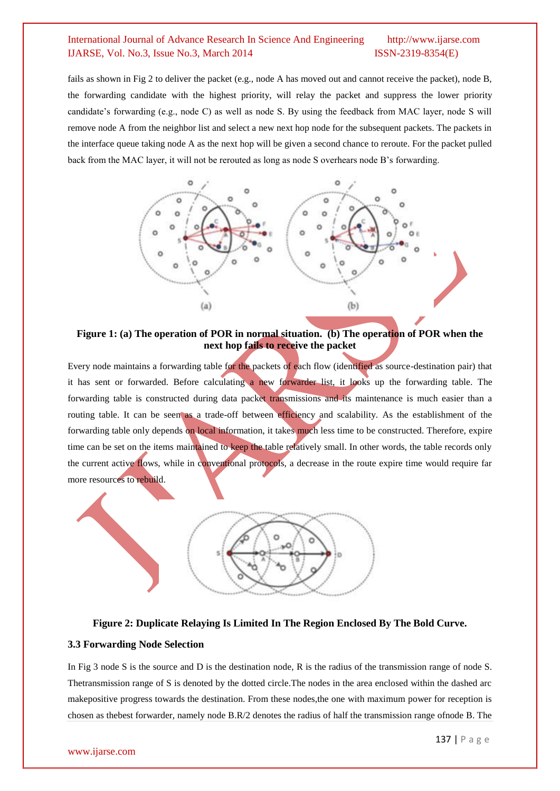fails as shown in Fig 2 to deliver the packet (e.g., node A has moved out and cannot receive the packet), node B, the forwarding candidate with the highest priority, will relay the packet and suppress the lower priority candidate's forwarding (e.g., node C) as well as node S. By using the feedback from MAC layer, node S will remove node A from the neighbor list and select a new next hop node for the subsequent packets. The packets in the interface queue taking node A as the next hop will be given a second chance to reroute. For the packet pulled back from the MAC layer, it will not be rerouted as long as node S overhears node B"s forwarding.



**Figure 1: (a) The operation of POR in normal situation. (b) The operation of POR when the next hop fails to receive the packet**

Every node maintains a forwarding table for the packets of each flow (identified as source-destination pair) that it has sent or forwarded. Before calculating a new forwarder list, it looks up the forwarding table. The forwarding table is constructed during data packet transmissions and its maintenance is much easier than a routing table. It can be seen as a trade-off between efficiency and scalability. As the establishment of the forwarding table only depends on local information, it takes much less time to be constructed. Therefore, expire time can be set on the items maintained to keep the table relatively small. In other words, the table records only the current active flows, while in conventional protocols, a decrease in the route expire time would require far more resources to rebuild.



#### **Figure 2: Duplicate Relaying Is Limited In The Region Enclosed By The Bold Curve.**

#### **3.3 Forwarding Node Selection**

In Fig 3 node S is the source and D is the destination node, R is the radius of the transmission range of node S. Thetransmission range of S is denoted by the dotted circle.The nodes in the area enclosed within the dashed arc makepositive progress towards the destination. From these nodes,the one with maximum power for reception is chosen as thebest forwarder, namely node B.R/2 denotes the radius of half the transmission range ofnode B. The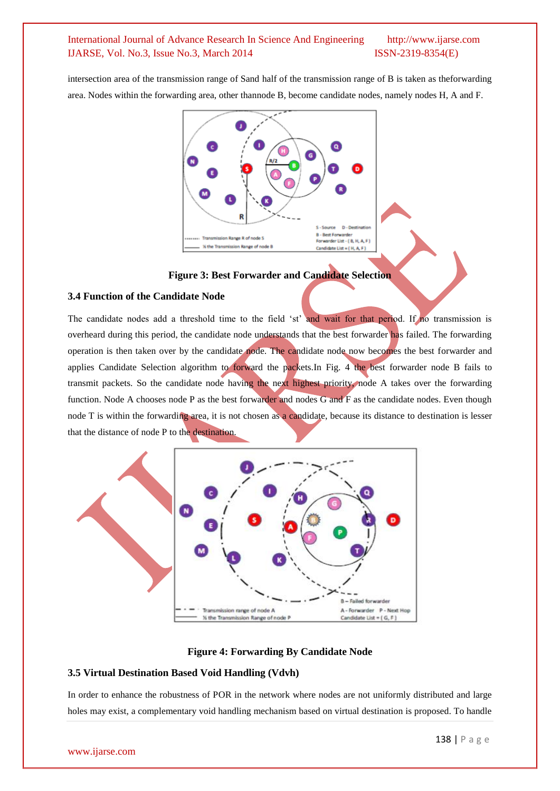intersection area of the transmission range of Sand half of the transmission range of B is taken as theforwarding area. Nodes within the forwarding area, other thannode B, become candidate nodes, namely nodes H, A and F.



**Figure 3: Best Forwarder and Candidate Selection**

#### **3.4 Function of the Candidate Node**

The candidate nodes add a threshold time to the field "st" and wait for that period. If no transmission is overheard during this period, the candidate node understands that the best forwarder has failed. The forwarding operation is then taken over by the candidate node. The candidate node now becomes the best forwarder and applies Candidate Selection algorithm to forward the packets.In Fig. 4 the best forwarder node B fails to transmit packets. So the candidate node having the next highest priority, node A takes over the forwarding function. Node A chooses node P as the best forwarder and nodes G and F as the candidate nodes. Even though node T is within the forwarding area, it is not chosen as a candidate, because its distance to destination is lesser that the distance of node P to the destination.



#### **Figure 4: Forwarding By Candidate Node**

## **3.5 Virtual Destination Based Void Handling (Vdvh)**

In order to enhance the robustness of POR in the network where nodes are not uniformly distributed and large holes may exist, a complementary void handling mechanism based on virtual destination is proposed. To handle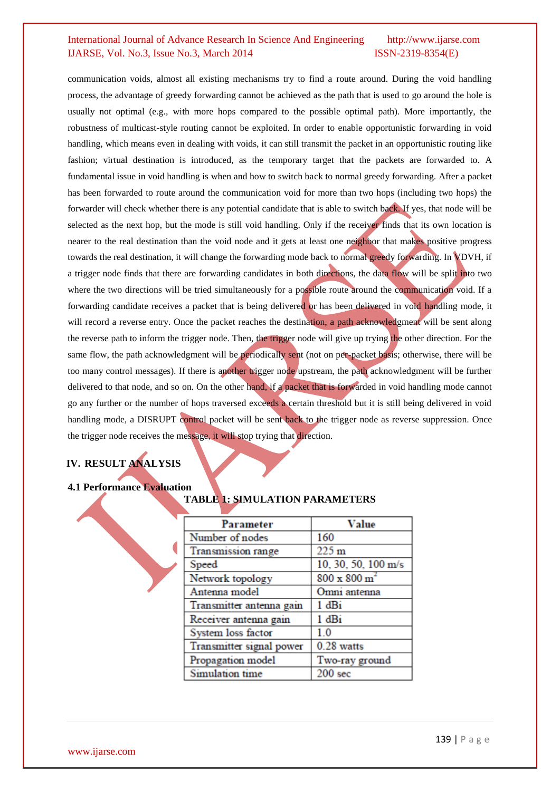communication voids, almost all existing mechanisms try to find a route around. During the void handling process, the advantage of greedy forwarding cannot be achieved as the path that is used to go around the hole is usually not optimal (e.g., with more hops compared to the possible optimal path). More importantly, the robustness of multicast-style routing cannot be exploited. In order to enable opportunistic forwarding in void handling, which means even in dealing with voids, it can still transmit the packet in an opportunistic routing like fashion; virtual destination is introduced, as the temporary target that the packets are forwarded to. A fundamental issue in void handling is when and how to switch back to normal greedy forwarding. After a packet has been forwarded to route around the communication void for more than two hops (including two hops) the forwarder will check whether there is any potential candidate that is able to switch back. If yes, that node will be selected as the next hop, but the mode is still void handling. Only if the receiver finds that its own location is nearer to the real destination than the void node and it gets at least one neighbor that makes positive progress towards the real destination, it will change the forwarding mode back to normal greedy forwarding. In VDVH, if a trigger node finds that there are forwarding candidates in both directions, the data flow will be split into two where the two directions will be tried simultaneously for a possible route around the communication void. If a forwarding candidate receives a packet that is being delivered or has been delivered in void handling mode, it will record a reverse entry. Once the packet reaches the destination, a path acknowledgment will be sent along the reverse path to inform the trigger node. Then, the trigger node will give up trying the other direction. For the same flow, the path acknowledgment will be periodically sent (not on per-packet basis; otherwise, there will be too many control messages). If there is another trigger node upstream, the path acknowledgment will be further delivered to that node, and so on. On the other hand, if a packet that is forwarded in void handling mode cannot go any further or the number of hops traversed exceeds a certain threshold but it is still being delivered in void handling mode, a DISRUPT control packet will be sent back to the trigger node as reverse suppression. Once the trigger node receives the message, it will stop trying that direction.

## **IV. RESULT ANALYSIS**

#### **4.1 Performance Evaluation**

### **TABLE 1: SIMULATION PARAMETERS**

| Parameter                | Value                        |
|--------------------------|------------------------------|
| Number of nodes          | 160                          |
| Transmission range       | $225 \text{ m}$              |
| Speed                    | 10, 30, 50, 100 m/s          |
| Network topology         | $800 \times 800 \text{ m}^2$ |
| Antenna model            | Omni antenna                 |
| Transmitter antenna gain | 1 dBi                        |
| Receiver antenna gain    | 1 dBi                        |
| System loss factor       | 1.0                          |
| Transmitter signal power | 0.28 watts                   |
| Propagation model        | Two-ray ground               |
| Simulation time          | 200 <sub>sec</sub>           |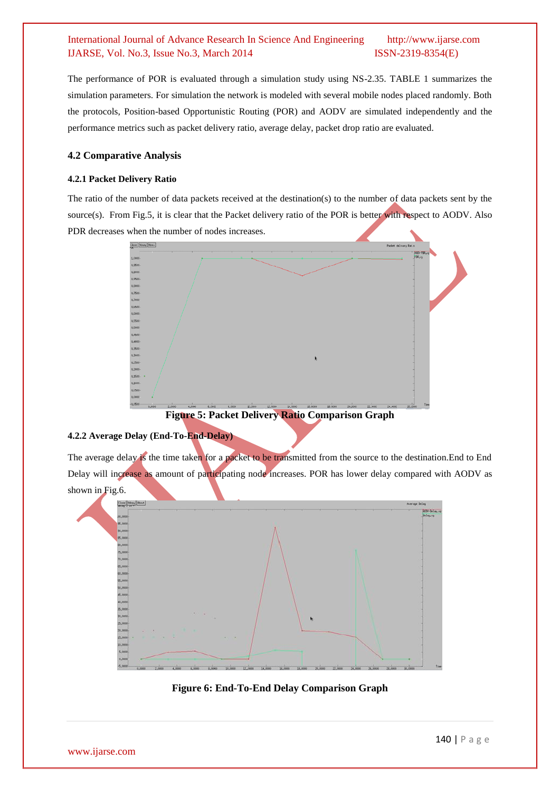The performance of POR is evaluated through a simulation study using NS-2.35. TABLE 1 summarizes the simulation parameters. For simulation the network is modeled with several mobile nodes placed randomly. Both the protocols, Position-based Opportunistic Routing (POR) and AODV are simulated independently and the performance metrics such as packet delivery ratio, average delay, packet drop ratio are evaluated.

#### **4.2 Comparative Analysis**

#### **4.2.1 Packet Delivery Ratio**

The ratio of the number of data packets received at the destination(s) to the number of data packets sent by the source(s). From Fig.5, it is clear that the Packet delivery ratio of the POR is better with respect to AODV. Also PDR decreases when the number of nodes increases.



**Figure 5: Packet Delivery Ratio Comparison Graph**

#### **4.2.2 Average Delay (End-To-End-Delay)**

The average delay is the time taken for a packet to be transmitted from the source to the destination. End to End Delay will increase as amount of participating node increases. POR has lower delay compared with AODV as shown in Fig.6.



**Figure 6: End-To-End Delay Comparison Graph**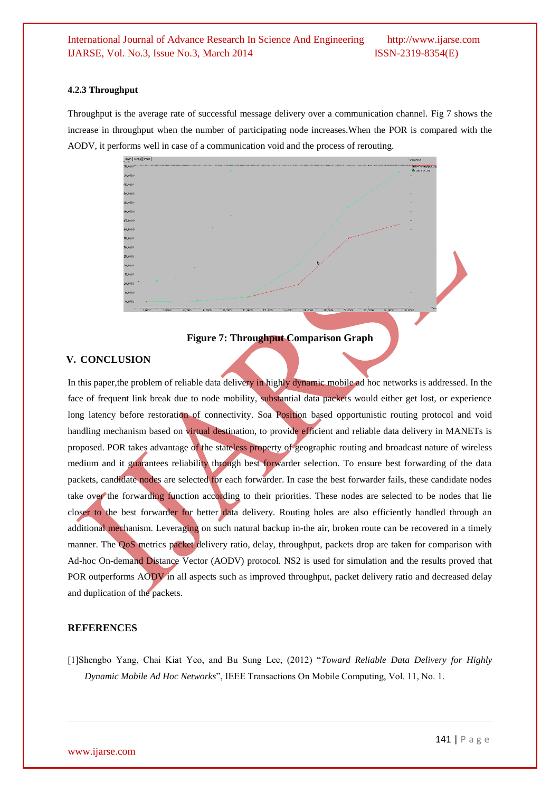#### **4.2.3 Throughput**

Throughput is the average rate of successful message delivery over a communication channel. Fig 7 shows the increase in throughput when the number of participating node increases.When the POR is compared with the AODV, it performs well in case of a communication void and the process of rerouting.





#### **V. CONCLUSION**

In this paper, the problem of reliable data delivery in highly dynamic mobile ad hoc networks is addressed. In the face of frequent link break due to node mobility, substantial data packets would either get lost, or experience long latency before restoration of connectivity. Soa Position based opportunistic routing protocol and void handling mechanism based on virtual destination, to provide efficient and reliable data delivery in MANETs is proposed. POR takes advantage of the stateless property of geographic routing and broadcast nature of wireless medium and it guarantees reliability through best forwarder selection. To ensure best forwarding of the data packets, candidate nodes are selected for each forwarder. In case the best forwarder fails, these candidate nodes take over the forwarding function according to their priorities. These nodes are selected to be nodes that lie closer to the best forwarder for better data delivery. Routing holes are also efficiently handled through an additional mechanism. Leveraging on such natural backup in-the air, broken route can be recovered in a timely manner. The QoS metrics packet delivery ratio, delay, throughput, packets drop are taken for comparison with Ad-hoc On-demand Distance Vector (AODV) protocol. NS2 is used for simulation and the results proved that POR outperforms AODV in all aspects such as improved throughput, packet delivery ratio and decreased delay and duplication of the packets.

#### **REFERENCES**

[1]Shengbo Yang, Chai Kiat Yeo, and Bu Sung Lee, (2012) "*Toward Reliable Data Delivery for Highly Dynamic Mobile Ad Hoc Networks*", IEEE Transactions On Mobile Computing, Vol. 11, No. 1.